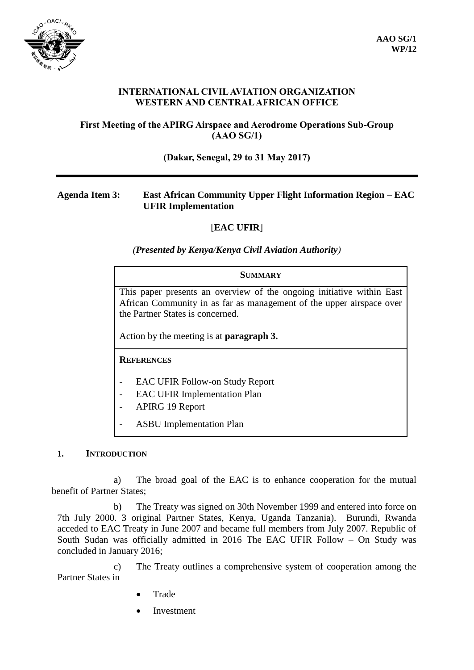

## **INTERNATIONAL CIVIL AVIATION ORGANIZATION WESTERN AND CENTRAL AFRICAN OFFICE**

## **First Meeting of the APIRG Airspace and Aerodrome Operations Sub-Group (AAO SG/1)**

#### **(Dakar, Senegal, 29 to 31 May 2017)**

## **Agenda Item 3: East African Community Upper Flight Information Region – EAC UFIR Implementation**

# [**EAC UFIR**]

*(Presented by Kenya/Kenya Civil Aviation Authority)*

# **SUMMARY** This paper presents an overview of the ongoing initiative within East African Community in as far as management of the upper airspace over the Partner States is concerned. Action by the meeting is at **paragraph 3. REFERENCES** EAC UFIR Follow-on Study Report

- EAC UFIR Implementation Plan
- APIRG 19 Report
- ASBU Implementation Plan

#### **1. INTRODUCTION**

a) The broad goal of the EAC is to enhance cooperation for the mutual benefit of Partner States;

b) The Treaty was signed on 30th November 1999 and entered into force on 7th July 2000. 3 original Partner States, Kenya, Uganda Tanzania). Burundi, Rwanda acceded to EAC Treaty in June 2007 and became full members from July 2007. Republic of South Sudan was officially admitted in 2016 The EAC UFIR Follow – On Study was concluded in January 2016;

c) The Treaty outlines a comprehensive system of cooperation among the Partner States in

- Trade
- Investment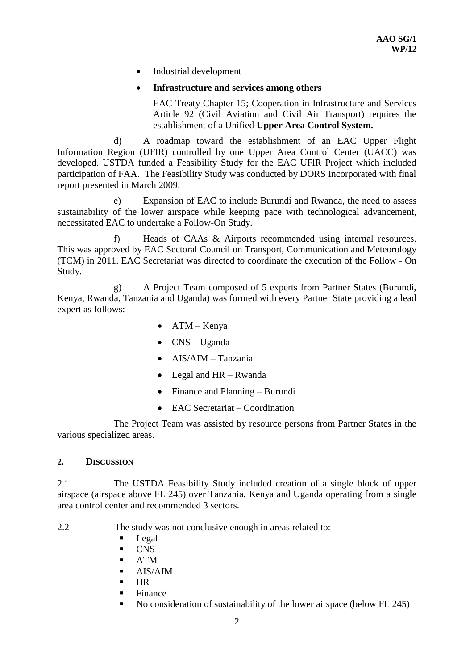Industrial development

## **Infrastructure and services among others**

EAC Treaty Chapter 15; Cooperation in Infrastructure and Services Article 92 (Civil Aviation and Civil Air Transport) requires the establishment of a Unified **Upper Area Control System.**

d) A roadmap toward the establishment of an EAC Upper Flight Information Region (UFIR) controlled by one Upper Area Control Center (UACC) was developed. USTDA funded a Feasibility Study for the EAC UFlR Project which included participation of FAA. The Feasibility Study was conducted by DORS Incorporated with final report presented in March 2009.

e) Expansion of EAC to include Burundi and Rwanda, the need to assess sustainability of the lower airspace while keeping pace with technological advancement, necessitated EAC to undertake a Follow-On Study.

f) Heads of CAAs & Airports recommended using internal resources. This was approved by EAC Sectoral Council on Transport, Communication and Meteorology (TCM) in 2011. EAC Secretariat was directed to coordinate the execution of the Follow - On Study.

g) A Project Team composed of 5 experts from Partner States (Burundi, Kenya, Rwanda, Tanzania and Uganda) was formed with every Partner State providing a lead expert as follows:

- ATM Kenya
- $\bullet$  CNS Uganda
- AIS/AIM Tanzania
- Legal and HR Rwanda
- Finance and Planning Burundi
- EAC Secretariat Coordination

The Project Team was assisted by resource persons from Partner States in the various specialized areas.

#### **2. DISCUSSION**

2.1 The USTDA Feasibility Study included creation of a single block of upper airspace (airspace above FL 245) over Tanzania, Kenya and Uganda operating from a single area control center and recommended 3 sectors.

2.2 The study was not conclusive enough in areas related to:

- Legal
- **CNS**
- ATM
- $-$  AIS/AIM
- $-HR$
- **Finance**
- No consideration of sustainability of the lower airspace (below FL 245)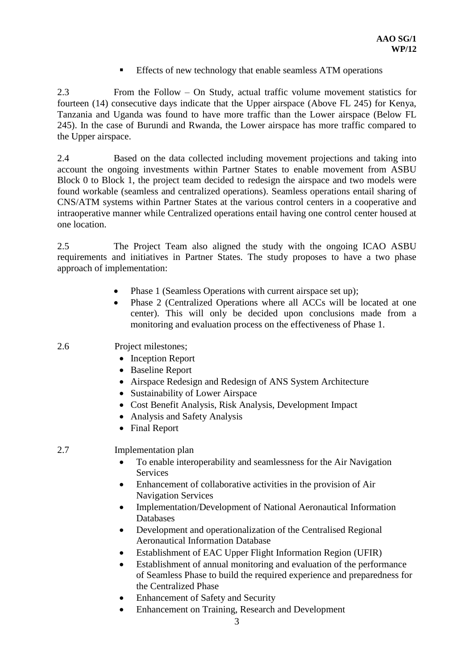**Effects of new technology that enable seamless ATM operations** 

2.3 From the Follow – On Study, actual traffic volume movement statistics for fourteen (14) consecutive days indicate that the Upper airspace (Above FL 245) for Kenya, Tanzania and Uganda was found to have more traffic than the Lower airspace (Below FL 245). In the case of Burundi and Rwanda, the Lower airspace has more traffic compared to the Upper airspace.

2.4 Based on the data collected including movement projections and taking into account the ongoing investments within Partner States to enable movement from ASBU Block 0 to Block 1, the project team decided to redesign the airspace and two models were found workable (seamless and centralized operations). Seamless operations entail sharing of CNS/ATM systems within Partner States at the various control centers in a cooperative and intraoperative manner while Centralized operations entail having one control center housed at one location.

2.5 The Project Team also aligned the study with the ongoing ICAO ASBU requirements and initiatives in Partner States. The study proposes to have a two phase approach of implementation:

- Phase 1 (Seamless Operations with current airspace set up);
- Phase 2 (Centralized Operations where all ACCs will be located at one center). This will only be decided upon conclusions made from a monitoring and evaluation process on the effectiveness of Phase 1.

2.6 Project milestones;

- Inception Report
- Baseline Report
- Airspace Redesign and Redesign of ANS System Architecture
- Sustainability of Lower Airspace
- Cost Benefit Analysis, Risk Analysis, Development Impact
- Analysis and Safety Analysis
- Final Report

# 2.7 Implementation plan

- To enable interoperability and seamlessness for the Air Navigation **Services**
- Enhancement of collaborative activities in the provision of Air Navigation Services
- Implementation/Development of National Aeronautical Information Databases
- Development and operationalization of the Centralised Regional Aeronautical Information Database
- Establishment of EAC Upper Flight Information Region (UFIR)
- Establishment of annual monitoring and evaluation of the performance of Seamless Phase to build the required experience and preparedness for the Centralized Phase
- Enhancement of Safety and Security
- Enhancement on Training, Research and Development